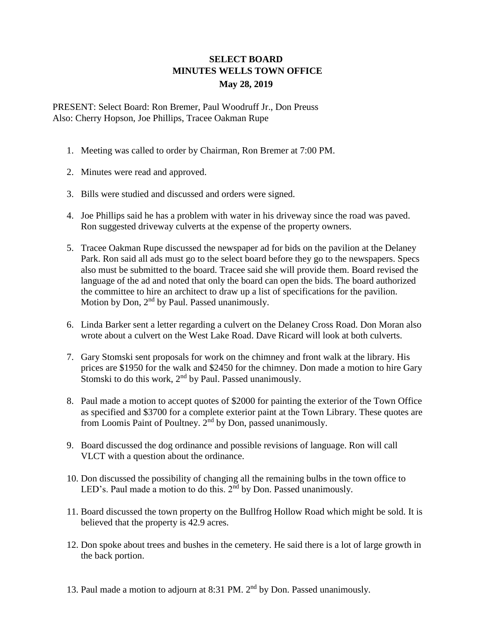## **SELECT BOARD MINUTES WELLS TOWN OFFICE May 28, 2019**

PRESENT: Select Board: Ron Bremer, Paul Woodruff Jr., Don Preuss Also: Cherry Hopson, Joe Phillips, Tracee Oakman Rupe

- 1. Meeting was called to order by Chairman, Ron Bremer at 7:00 PM.
- 2. Minutes were read and approved.
- 3. Bills were studied and discussed and orders were signed.
- 4. Joe Phillips said he has a problem with water in his driveway since the road was paved. Ron suggested driveway culverts at the expense of the property owners.
- 5. Tracee Oakman Rupe discussed the newspaper ad for bids on the pavilion at the Delaney Park. Ron said all ads must go to the select board before they go to the newspapers. Specs also must be submitted to the board. Tracee said she will provide them. Board revised the language of the ad and noted that only the board can open the bids. The board authorized the committee to hire an architect to draw up a list of specifications for the pavilion. Motion by Don, 2<sup>nd</sup> by Paul. Passed unanimously.
- 6. Linda Barker sent a letter regarding a culvert on the Delaney Cross Road. Don Moran also wrote about a culvert on the West Lake Road. Dave Ricard will look at both culverts.
- 7. Gary Stomski sent proposals for work on the chimney and front walk at the library. His prices are \$1950 for the walk and \$2450 for the chimney. Don made a motion to hire Gary Stomski to do this work, 2<sup>nd</sup> by Paul. Passed unanimously.
- 8. Paul made a motion to accept quotes of \$2000 for painting the exterior of the Town Office as specified and \$3700 for a complete exterior paint at the Town Library. These quotes are from Loomis Paint of Poultney. 2<sup>nd</sup> by Don, passed unanimously.
- 9. Board discussed the dog ordinance and possible revisions of language. Ron will call VLCT with a question about the ordinance.
- 10. Don discussed the possibility of changing all the remaining bulbs in the town office to LED's. Paul made a motion to do this. 2<sup>nd</sup> by Don. Passed unanimously.
- 11. Board discussed the town property on the Bullfrog Hollow Road which might be sold. It is believed that the property is 42.9 acres.
- 12. Don spoke about trees and bushes in the cemetery. He said there is a lot of large growth in the back portion.
- 13. Paul made a motion to adjourn at 8:31 PM. 2<sup>nd</sup> by Don. Passed unanimously.